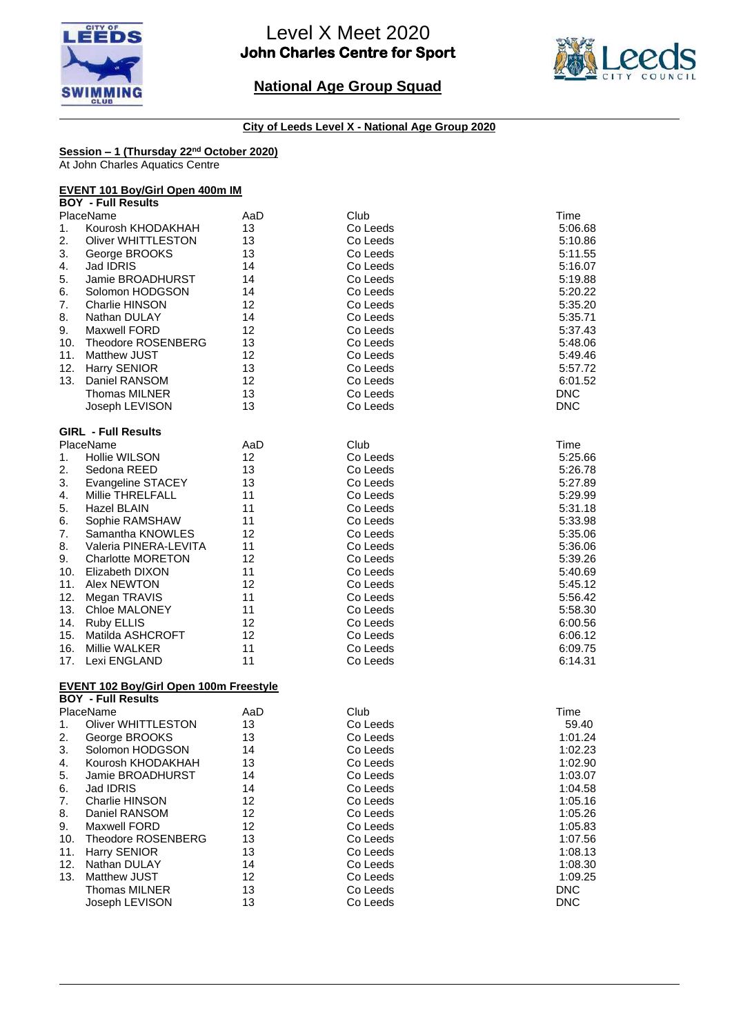



### **City of Leeds Level X - National Age Group 2020**

### **Session – 1 (Thursday 22nd October 2020)**

At John Charles Aquatics Centre

### **EVENT 101 Boy/Girl Open 400m IM**

| PlaceName<br>AaD<br>Club<br>Time<br>1.<br>Kourosh KHODAKHAH<br>13<br>Co Leeds<br>5:06.68<br><b>Oliver WHITTLESTON</b><br>13<br>Co Leeds<br>5:10.86<br>13<br>George BROOKS<br>Co Leeds<br>5:11.55<br>4.<br>Jad IDRIS<br>14<br>Co Leeds<br>5:16.07<br>5.<br>Jamie BROADHURST<br>14<br>5:19.88<br>Co Leeds<br>6.<br>Solomon HODGSON<br>14<br>5:20.22<br>Co Leeds<br>7.<br><b>Charlie HINSON</b><br>12<br>5:35.20<br>Co Leeds<br>8.<br>Nathan DULAY<br>14<br>5:35.71<br>Co Leeds<br>9.<br>12<br><b>Maxwell FORD</b><br>5:37.43<br>Co Leeds<br>13<br>10.<br><b>Theodore ROSENBERG</b><br>5:48.06<br>Co Leeds<br>11.<br>Matthew JUST<br>12<br>Co Leeds<br>5:49.46<br>12.<br>13<br>Harry SENIOR<br>Co Leeds<br>5:57.72<br>13.<br>Daniel RANSOM<br>12<br>Co Leeds<br>6:01.52<br>13<br>Thomas MILNER<br>Co Leeds<br><b>DNC</b><br>13<br>Co Leeds<br><b>DNC</b><br>Joseph LEVISON<br><b>GIRL - Full Results</b><br>PlaceName<br>AaD<br>Club<br>Time<br>5:25.66<br>1.<br>Hollie WILSON<br>12<br>Co Leeds<br>2.<br>Sedona REED<br>13<br>5:26.78<br>Co Leeds<br><b>Evangeline STACEY</b><br>13<br>5:27.89<br>Co Leeds<br>Millie THRELFALL<br>11<br>Co Leeds<br>5:29.99<br>4.<br>11<br>Hazel BLAIN<br>5:31.18<br>Co Leeds<br>11<br>Sophie RAMSHAW<br>5:33.98<br>Co Leeds<br>12<br>Samantha KNOWLES<br>Co Leeds<br>5:35.06<br>Valeria PINERA-LEVITA<br>11<br>5:36.06<br>Co Leeds<br>12<br><b>Charlotte MORETON</b><br>5:39.26<br>Co Leeds<br>10.<br>11<br>5:40.69<br>Elizabeth DIXON<br>Co Leeds<br>12<br>11.<br>Alex NEWTON<br>5:45.12<br>Co Leeds<br>12.<br>Megan TRAVIS<br>11<br>Co Leeds<br>5:56.42<br>13.<br>Chloe MALONEY<br>11<br>5:58.30<br>Co Leeds<br>12<br>14.<br>Ruby ELLIS<br>Co Leeds<br>6:00.56<br>15.<br>Matilda ASHCROFT<br>12<br>Co Leeds<br>6:06.12<br>11<br>16.<br>Millie WALKER<br>Co Leeds<br>6:09.75<br>11<br>Lexi ENGLAND<br>Co Leeds<br>6:14.31<br>17.<br><b>EVENT 102 Boy/Girl Open 100m Freestyle</b><br><b>BOY - Full Results</b><br>PlaceName<br>Club<br>AaD<br>Time<br><b>Oliver WHITTLESTON</b><br>1.<br>13<br>Co Leeds<br>59.40<br>2.<br>13<br>George BROOKS<br>Co Leeds<br>1:01.24<br>3.<br>Solomon HODGSON<br>1:02.23<br>14<br>Co Leeds<br>Kourosh KHODAKHAH<br>13<br>1:02.90<br>4.<br>Co Leeds<br>5.<br>Jamie BROADHURST<br>14<br>Co Leeds<br>1:03.07<br>14<br>6.<br>Jad IDRIS<br>Co Leeds<br>1:04.58<br><b>Charlie HINSON</b><br>12<br>7.<br>Co Leeds<br>1:05.16<br>12<br>8.<br>Daniel RANSOM<br>1:05.26<br>Co Leeds<br>Maxwell FORD<br>12<br>Co Leeds<br>1:05.83<br>13<br>Theodore ROSENBERG<br>Co Leeds<br>1:07.56<br>Harry SENIOR<br>13<br>1:08.13<br>Co Leeds<br>Nathan DULAY<br>12.<br>14<br>Co Leeds<br>1:08.30<br>12<br>Matthew JUST<br>Co Leeds<br>1:09.25<br>Thomas MILNER<br>13<br>Co Leeds<br><b>DNC</b><br>13<br><b>DNC</b><br>Joseph LEVISON<br>Co Leeds |     | <b>BOY - Full Results</b> |  |  |
|--------------------------------------------------------------------------------------------------------------------------------------------------------------------------------------------------------------------------------------------------------------------------------------------------------------------------------------------------------------------------------------------------------------------------------------------------------------------------------------------------------------------------------------------------------------------------------------------------------------------------------------------------------------------------------------------------------------------------------------------------------------------------------------------------------------------------------------------------------------------------------------------------------------------------------------------------------------------------------------------------------------------------------------------------------------------------------------------------------------------------------------------------------------------------------------------------------------------------------------------------------------------------------------------------------------------------------------------------------------------------------------------------------------------------------------------------------------------------------------------------------------------------------------------------------------------------------------------------------------------------------------------------------------------------------------------------------------------------------------------------------------------------------------------------------------------------------------------------------------------------------------------------------------------------------------------------------------------------------------------------------------------------------------------------------------------------------------------------------------------------------------------------------------------------------------------------------------------------------------------------------------------------------------------------------------------------------------------------------------------------------------------------------------------------------------------------------------------------------------------------------------------------------------------------------------------------------------------------------------------------------------------------------------------------------------------------------------------------------------------------------------------------------------------|-----|---------------------------|--|--|
|                                                                                                                                                                                                                                                                                                                                                                                                                                                                                                                                                                                                                                                                                                                                                                                                                                                                                                                                                                                                                                                                                                                                                                                                                                                                                                                                                                                                                                                                                                                                                                                                                                                                                                                                                                                                                                                                                                                                                                                                                                                                                                                                                                                                                                                                                                                                                                                                                                                                                                                                                                                                                                                                                                                                                                                            |     |                           |  |  |
|                                                                                                                                                                                                                                                                                                                                                                                                                                                                                                                                                                                                                                                                                                                                                                                                                                                                                                                                                                                                                                                                                                                                                                                                                                                                                                                                                                                                                                                                                                                                                                                                                                                                                                                                                                                                                                                                                                                                                                                                                                                                                                                                                                                                                                                                                                                                                                                                                                                                                                                                                                                                                                                                                                                                                                                            |     |                           |  |  |
|                                                                                                                                                                                                                                                                                                                                                                                                                                                                                                                                                                                                                                                                                                                                                                                                                                                                                                                                                                                                                                                                                                                                                                                                                                                                                                                                                                                                                                                                                                                                                                                                                                                                                                                                                                                                                                                                                                                                                                                                                                                                                                                                                                                                                                                                                                                                                                                                                                                                                                                                                                                                                                                                                                                                                                                            | 2.  |                           |  |  |
|                                                                                                                                                                                                                                                                                                                                                                                                                                                                                                                                                                                                                                                                                                                                                                                                                                                                                                                                                                                                                                                                                                                                                                                                                                                                                                                                                                                                                                                                                                                                                                                                                                                                                                                                                                                                                                                                                                                                                                                                                                                                                                                                                                                                                                                                                                                                                                                                                                                                                                                                                                                                                                                                                                                                                                                            | 3.  |                           |  |  |
|                                                                                                                                                                                                                                                                                                                                                                                                                                                                                                                                                                                                                                                                                                                                                                                                                                                                                                                                                                                                                                                                                                                                                                                                                                                                                                                                                                                                                                                                                                                                                                                                                                                                                                                                                                                                                                                                                                                                                                                                                                                                                                                                                                                                                                                                                                                                                                                                                                                                                                                                                                                                                                                                                                                                                                                            |     |                           |  |  |
|                                                                                                                                                                                                                                                                                                                                                                                                                                                                                                                                                                                                                                                                                                                                                                                                                                                                                                                                                                                                                                                                                                                                                                                                                                                                                                                                                                                                                                                                                                                                                                                                                                                                                                                                                                                                                                                                                                                                                                                                                                                                                                                                                                                                                                                                                                                                                                                                                                                                                                                                                                                                                                                                                                                                                                                            |     |                           |  |  |
|                                                                                                                                                                                                                                                                                                                                                                                                                                                                                                                                                                                                                                                                                                                                                                                                                                                                                                                                                                                                                                                                                                                                                                                                                                                                                                                                                                                                                                                                                                                                                                                                                                                                                                                                                                                                                                                                                                                                                                                                                                                                                                                                                                                                                                                                                                                                                                                                                                                                                                                                                                                                                                                                                                                                                                                            |     |                           |  |  |
|                                                                                                                                                                                                                                                                                                                                                                                                                                                                                                                                                                                                                                                                                                                                                                                                                                                                                                                                                                                                                                                                                                                                                                                                                                                                                                                                                                                                                                                                                                                                                                                                                                                                                                                                                                                                                                                                                                                                                                                                                                                                                                                                                                                                                                                                                                                                                                                                                                                                                                                                                                                                                                                                                                                                                                                            |     |                           |  |  |
|                                                                                                                                                                                                                                                                                                                                                                                                                                                                                                                                                                                                                                                                                                                                                                                                                                                                                                                                                                                                                                                                                                                                                                                                                                                                                                                                                                                                                                                                                                                                                                                                                                                                                                                                                                                                                                                                                                                                                                                                                                                                                                                                                                                                                                                                                                                                                                                                                                                                                                                                                                                                                                                                                                                                                                                            |     |                           |  |  |
|                                                                                                                                                                                                                                                                                                                                                                                                                                                                                                                                                                                                                                                                                                                                                                                                                                                                                                                                                                                                                                                                                                                                                                                                                                                                                                                                                                                                                                                                                                                                                                                                                                                                                                                                                                                                                                                                                                                                                                                                                                                                                                                                                                                                                                                                                                                                                                                                                                                                                                                                                                                                                                                                                                                                                                                            |     |                           |  |  |
|                                                                                                                                                                                                                                                                                                                                                                                                                                                                                                                                                                                                                                                                                                                                                                                                                                                                                                                                                                                                                                                                                                                                                                                                                                                                                                                                                                                                                                                                                                                                                                                                                                                                                                                                                                                                                                                                                                                                                                                                                                                                                                                                                                                                                                                                                                                                                                                                                                                                                                                                                                                                                                                                                                                                                                                            |     |                           |  |  |
|                                                                                                                                                                                                                                                                                                                                                                                                                                                                                                                                                                                                                                                                                                                                                                                                                                                                                                                                                                                                                                                                                                                                                                                                                                                                                                                                                                                                                                                                                                                                                                                                                                                                                                                                                                                                                                                                                                                                                                                                                                                                                                                                                                                                                                                                                                                                                                                                                                                                                                                                                                                                                                                                                                                                                                                            |     |                           |  |  |
|                                                                                                                                                                                                                                                                                                                                                                                                                                                                                                                                                                                                                                                                                                                                                                                                                                                                                                                                                                                                                                                                                                                                                                                                                                                                                                                                                                                                                                                                                                                                                                                                                                                                                                                                                                                                                                                                                                                                                                                                                                                                                                                                                                                                                                                                                                                                                                                                                                                                                                                                                                                                                                                                                                                                                                                            |     |                           |  |  |
|                                                                                                                                                                                                                                                                                                                                                                                                                                                                                                                                                                                                                                                                                                                                                                                                                                                                                                                                                                                                                                                                                                                                                                                                                                                                                                                                                                                                                                                                                                                                                                                                                                                                                                                                                                                                                                                                                                                                                                                                                                                                                                                                                                                                                                                                                                                                                                                                                                                                                                                                                                                                                                                                                                                                                                                            |     |                           |  |  |
|                                                                                                                                                                                                                                                                                                                                                                                                                                                                                                                                                                                                                                                                                                                                                                                                                                                                                                                                                                                                                                                                                                                                                                                                                                                                                                                                                                                                                                                                                                                                                                                                                                                                                                                                                                                                                                                                                                                                                                                                                                                                                                                                                                                                                                                                                                                                                                                                                                                                                                                                                                                                                                                                                                                                                                                            |     |                           |  |  |
|                                                                                                                                                                                                                                                                                                                                                                                                                                                                                                                                                                                                                                                                                                                                                                                                                                                                                                                                                                                                                                                                                                                                                                                                                                                                                                                                                                                                                                                                                                                                                                                                                                                                                                                                                                                                                                                                                                                                                                                                                                                                                                                                                                                                                                                                                                                                                                                                                                                                                                                                                                                                                                                                                                                                                                                            |     |                           |  |  |
|                                                                                                                                                                                                                                                                                                                                                                                                                                                                                                                                                                                                                                                                                                                                                                                                                                                                                                                                                                                                                                                                                                                                                                                                                                                                                                                                                                                                                                                                                                                                                                                                                                                                                                                                                                                                                                                                                                                                                                                                                                                                                                                                                                                                                                                                                                                                                                                                                                                                                                                                                                                                                                                                                                                                                                                            |     |                           |  |  |
|                                                                                                                                                                                                                                                                                                                                                                                                                                                                                                                                                                                                                                                                                                                                                                                                                                                                                                                                                                                                                                                                                                                                                                                                                                                                                                                                                                                                                                                                                                                                                                                                                                                                                                                                                                                                                                                                                                                                                                                                                                                                                                                                                                                                                                                                                                                                                                                                                                                                                                                                                                                                                                                                                                                                                                                            |     |                           |  |  |
|                                                                                                                                                                                                                                                                                                                                                                                                                                                                                                                                                                                                                                                                                                                                                                                                                                                                                                                                                                                                                                                                                                                                                                                                                                                                                                                                                                                                                                                                                                                                                                                                                                                                                                                                                                                                                                                                                                                                                                                                                                                                                                                                                                                                                                                                                                                                                                                                                                                                                                                                                                                                                                                                                                                                                                                            |     |                           |  |  |
|                                                                                                                                                                                                                                                                                                                                                                                                                                                                                                                                                                                                                                                                                                                                                                                                                                                                                                                                                                                                                                                                                                                                                                                                                                                                                                                                                                                                                                                                                                                                                                                                                                                                                                                                                                                                                                                                                                                                                                                                                                                                                                                                                                                                                                                                                                                                                                                                                                                                                                                                                                                                                                                                                                                                                                                            |     |                           |  |  |
|                                                                                                                                                                                                                                                                                                                                                                                                                                                                                                                                                                                                                                                                                                                                                                                                                                                                                                                                                                                                                                                                                                                                                                                                                                                                                                                                                                                                                                                                                                                                                                                                                                                                                                                                                                                                                                                                                                                                                                                                                                                                                                                                                                                                                                                                                                                                                                                                                                                                                                                                                                                                                                                                                                                                                                                            |     |                           |  |  |
|                                                                                                                                                                                                                                                                                                                                                                                                                                                                                                                                                                                                                                                                                                                                                                                                                                                                                                                                                                                                                                                                                                                                                                                                                                                                                                                                                                                                                                                                                                                                                                                                                                                                                                                                                                                                                                                                                                                                                                                                                                                                                                                                                                                                                                                                                                                                                                                                                                                                                                                                                                                                                                                                                                                                                                                            | 3.  |                           |  |  |
|                                                                                                                                                                                                                                                                                                                                                                                                                                                                                                                                                                                                                                                                                                                                                                                                                                                                                                                                                                                                                                                                                                                                                                                                                                                                                                                                                                                                                                                                                                                                                                                                                                                                                                                                                                                                                                                                                                                                                                                                                                                                                                                                                                                                                                                                                                                                                                                                                                                                                                                                                                                                                                                                                                                                                                                            |     |                           |  |  |
|                                                                                                                                                                                                                                                                                                                                                                                                                                                                                                                                                                                                                                                                                                                                                                                                                                                                                                                                                                                                                                                                                                                                                                                                                                                                                                                                                                                                                                                                                                                                                                                                                                                                                                                                                                                                                                                                                                                                                                                                                                                                                                                                                                                                                                                                                                                                                                                                                                                                                                                                                                                                                                                                                                                                                                                            | 5.  |                           |  |  |
|                                                                                                                                                                                                                                                                                                                                                                                                                                                                                                                                                                                                                                                                                                                                                                                                                                                                                                                                                                                                                                                                                                                                                                                                                                                                                                                                                                                                                                                                                                                                                                                                                                                                                                                                                                                                                                                                                                                                                                                                                                                                                                                                                                                                                                                                                                                                                                                                                                                                                                                                                                                                                                                                                                                                                                                            | 6.  |                           |  |  |
|                                                                                                                                                                                                                                                                                                                                                                                                                                                                                                                                                                                                                                                                                                                                                                                                                                                                                                                                                                                                                                                                                                                                                                                                                                                                                                                                                                                                                                                                                                                                                                                                                                                                                                                                                                                                                                                                                                                                                                                                                                                                                                                                                                                                                                                                                                                                                                                                                                                                                                                                                                                                                                                                                                                                                                                            | 7.  |                           |  |  |
|                                                                                                                                                                                                                                                                                                                                                                                                                                                                                                                                                                                                                                                                                                                                                                                                                                                                                                                                                                                                                                                                                                                                                                                                                                                                                                                                                                                                                                                                                                                                                                                                                                                                                                                                                                                                                                                                                                                                                                                                                                                                                                                                                                                                                                                                                                                                                                                                                                                                                                                                                                                                                                                                                                                                                                                            | 8.  |                           |  |  |
|                                                                                                                                                                                                                                                                                                                                                                                                                                                                                                                                                                                                                                                                                                                                                                                                                                                                                                                                                                                                                                                                                                                                                                                                                                                                                                                                                                                                                                                                                                                                                                                                                                                                                                                                                                                                                                                                                                                                                                                                                                                                                                                                                                                                                                                                                                                                                                                                                                                                                                                                                                                                                                                                                                                                                                                            | 9.  |                           |  |  |
|                                                                                                                                                                                                                                                                                                                                                                                                                                                                                                                                                                                                                                                                                                                                                                                                                                                                                                                                                                                                                                                                                                                                                                                                                                                                                                                                                                                                                                                                                                                                                                                                                                                                                                                                                                                                                                                                                                                                                                                                                                                                                                                                                                                                                                                                                                                                                                                                                                                                                                                                                                                                                                                                                                                                                                                            |     |                           |  |  |
|                                                                                                                                                                                                                                                                                                                                                                                                                                                                                                                                                                                                                                                                                                                                                                                                                                                                                                                                                                                                                                                                                                                                                                                                                                                                                                                                                                                                                                                                                                                                                                                                                                                                                                                                                                                                                                                                                                                                                                                                                                                                                                                                                                                                                                                                                                                                                                                                                                                                                                                                                                                                                                                                                                                                                                                            |     |                           |  |  |
|                                                                                                                                                                                                                                                                                                                                                                                                                                                                                                                                                                                                                                                                                                                                                                                                                                                                                                                                                                                                                                                                                                                                                                                                                                                                                                                                                                                                                                                                                                                                                                                                                                                                                                                                                                                                                                                                                                                                                                                                                                                                                                                                                                                                                                                                                                                                                                                                                                                                                                                                                                                                                                                                                                                                                                                            |     |                           |  |  |
|                                                                                                                                                                                                                                                                                                                                                                                                                                                                                                                                                                                                                                                                                                                                                                                                                                                                                                                                                                                                                                                                                                                                                                                                                                                                                                                                                                                                                                                                                                                                                                                                                                                                                                                                                                                                                                                                                                                                                                                                                                                                                                                                                                                                                                                                                                                                                                                                                                                                                                                                                                                                                                                                                                                                                                                            |     |                           |  |  |
|                                                                                                                                                                                                                                                                                                                                                                                                                                                                                                                                                                                                                                                                                                                                                                                                                                                                                                                                                                                                                                                                                                                                                                                                                                                                                                                                                                                                                                                                                                                                                                                                                                                                                                                                                                                                                                                                                                                                                                                                                                                                                                                                                                                                                                                                                                                                                                                                                                                                                                                                                                                                                                                                                                                                                                                            |     |                           |  |  |
|                                                                                                                                                                                                                                                                                                                                                                                                                                                                                                                                                                                                                                                                                                                                                                                                                                                                                                                                                                                                                                                                                                                                                                                                                                                                                                                                                                                                                                                                                                                                                                                                                                                                                                                                                                                                                                                                                                                                                                                                                                                                                                                                                                                                                                                                                                                                                                                                                                                                                                                                                                                                                                                                                                                                                                                            |     |                           |  |  |
|                                                                                                                                                                                                                                                                                                                                                                                                                                                                                                                                                                                                                                                                                                                                                                                                                                                                                                                                                                                                                                                                                                                                                                                                                                                                                                                                                                                                                                                                                                                                                                                                                                                                                                                                                                                                                                                                                                                                                                                                                                                                                                                                                                                                                                                                                                                                                                                                                                                                                                                                                                                                                                                                                                                                                                                            |     |                           |  |  |
|                                                                                                                                                                                                                                                                                                                                                                                                                                                                                                                                                                                                                                                                                                                                                                                                                                                                                                                                                                                                                                                                                                                                                                                                                                                                                                                                                                                                                                                                                                                                                                                                                                                                                                                                                                                                                                                                                                                                                                                                                                                                                                                                                                                                                                                                                                                                                                                                                                                                                                                                                                                                                                                                                                                                                                                            |     |                           |  |  |
|                                                                                                                                                                                                                                                                                                                                                                                                                                                                                                                                                                                                                                                                                                                                                                                                                                                                                                                                                                                                                                                                                                                                                                                                                                                                                                                                                                                                                                                                                                                                                                                                                                                                                                                                                                                                                                                                                                                                                                                                                                                                                                                                                                                                                                                                                                                                                                                                                                                                                                                                                                                                                                                                                                                                                                                            |     |                           |  |  |
|                                                                                                                                                                                                                                                                                                                                                                                                                                                                                                                                                                                                                                                                                                                                                                                                                                                                                                                                                                                                                                                                                                                                                                                                                                                                                                                                                                                                                                                                                                                                                                                                                                                                                                                                                                                                                                                                                                                                                                                                                                                                                                                                                                                                                                                                                                                                                                                                                                                                                                                                                                                                                                                                                                                                                                                            |     |                           |  |  |
|                                                                                                                                                                                                                                                                                                                                                                                                                                                                                                                                                                                                                                                                                                                                                                                                                                                                                                                                                                                                                                                                                                                                                                                                                                                                                                                                                                                                                                                                                                                                                                                                                                                                                                                                                                                                                                                                                                                                                                                                                                                                                                                                                                                                                                                                                                                                                                                                                                                                                                                                                                                                                                                                                                                                                                                            |     |                           |  |  |
|                                                                                                                                                                                                                                                                                                                                                                                                                                                                                                                                                                                                                                                                                                                                                                                                                                                                                                                                                                                                                                                                                                                                                                                                                                                                                                                                                                                                                                                                                                                                                                                                                                                                                                                                                                                                                                                                                                                                                                                                                                                                                                                                                                                                                                                                                                                                                                                                                                                                                                                                                                                                                                                                                                                                                                                            |     |                           |  |  |
|                                                                                                                                                                                                                                                                                                                                                                                                                                                                                                                                                                                                                                                                                                                                                                                                                                                                                                                                                                                                                                                                                                                                                                                                                                                                                                                                                                                                                                                                                                                                                                                                                                                                                                                                                                                                                                                                                                                                                                                                                                                                                                                                                                                                                                                                                                                                                                                                                                                                                                                                                                                                                                                                                                                                                                                            |     |                           |  |  |
|                                                                                                                                                                                                                                                                                                                                                                                                                                                                                                                                                                                                                                                                                                                                                                                                                                                                                                                                                                                                                                                                                                                                                                                                                                                                                                                                                                                                                                                                                                                                                                                                                                                                                                                                                                                                                                                                                                                                                                                                                                                                                                                                                                                                                                                                                                                                                                                                                                                                                                                                                                                                                                                                                                                                                                                            |     |                           |  |  |
|                                                                                                                                                                                                                                                                                                                                                                                                                                                                                                                                                                                                                                                                                                                                                                                                                                                                                                                                                                                                                                                                                                                                                                                                                                                                                                                                                                                                                                                                                                                                                                                                                                                                                                                                                                                                                                                                                                                                                                                                                                                                                                                                                                                                                                                                                                                                                                                                                                                                                                                                                                                                                                                                                                                                                                                            |     |                           |  |  |
|                                                                                                                                                                                                                                                                                                                                                                                                                                                                                                                                                                                                                                                                                                                                                                                                                                                                                                                                                                                                                                                                                                                                                                                                                                                                                                                                                                                                                                                                                                                                                                                                                                                                                                                                                                                                                                                                                                                                                                                                                                                                                                                                                                                                                                                                                                                                                                                                                                                                                                                                                                                                                                                                                                                                                                                            |     |                           |  |  |
|                                                                                                                                                                                                                                                                                                                                                                                                                                                                                                                                                                                                                                                                                                                                                                                                                                                                                                                                                                                                                                                                                                                                                                                                                                                                                                                                                                                                                                                                                                                                                                                                                                                                                                                                                                                                                                                                                                                                                                                                                                                                                                                                                                                                                                                                                                                                                                                                                                                                                                                                                                                                                                                                                                                                                                                            |     |                           |  |  |
|                                                                                                                                                                                                                                                                                                                                                                                                                                                                                                                                                                                                                                                                                                                                                                                                                                                                                                                                                                                                                                                                                                                                                                                                                                                                                                                                                                                                                                                                                                                                                                                                                                                                                                                                                                                                                                                                                                                                                                                                                                                                                                                                                                                                                                                                                                                                                                                                                                                                                                                                                                                                                                                                                                                                                                                            |     |                           |  |  |
|                                                                                                                                                                                                                                                                                                                                                                                                                                                                                                                                                                                                                                                                                                                                                                                                                                                                                                                                                                                                                                                                                                                                                                                                                                                                                                                                                                                                                                                                                                                                                                                                                                                                                                                                                                                                                                                                                                                                                                                                                                                                                                                                                                                                                                                                                                                                                                                                                                                                                                                                                                                                                                                                                                                                                                                            |     |                           |  |  |
|                                                                                                                                                                                                                                                                                                                                                                                                                                                                                                                                                                                                                                                                                                                                                                                                                                                                                                                                                                                                                                                                                                                                                                                                                                                                                                                                                                                                                                                                                                                                                                                                                                                                                                                                                                                                                                                                                                                                                                                                                                                                                                                                                                                                                                                                                                                                                                                                                                                                                                                                                                                                                                                                                                                                                                                            |     |                           |  |  |
|                                                                                                                                                                                                                                                                                                                                                                                                                                                                                                                                                                                                                                                                                                                                                                                                                                                                                                                                                                                                                                                                                                                                                                                                                                                                                                                                                                                                                                                                                                                                                                                                                                                                                                                                                                                                                                                                                                                                                                                                                                                                                                                                                                                                                                                                                                                                                                                                                                                                                                                                                                                                                                                                                                                                                                                            | 9.  |                           |  |  |
|                                                                                                                                                                                                                                                                                                                                                                                                                                                                                                                                                                                                                                                                                                                                                                                                                                                                                                                                                                                                                                                                                                                                                                                                                                                                                                                                                                                                                                                                                                                                                                                                                                                                                                                                                                                                                                                                                                                                                                                                                                                                                                                                                                                                                                                                                                                                                                                                                                                                                                                                                                                                                                                                                                                                                                                            | 10. |                           |  |  |
|                                                                                                                                                                                                                                                                                                                                                                                                                                                                                                                                                                                                                                                                                                                                                                                                                                                                                                                                                                                                                                                                                                                                                                                                                                                                                                                                                                                                                                                                                                                                                                                                                                                                                                                                                                                                                                                                                                                                                                                                                                                                                                                                                                                                                                                                                                                                                                                                                                                                                                                                                                                                                                                                                                                                                                                            | 11. |                           |  |  |
|                                                                                                                                                                                                                                                                                                                                                                                                                                                                                                                                                                                                                                                                                                                                                                                                                                                                                                                                                                                                                                                                                                                                                                                                                                                                                                                                                                                                                                                                                                                                                                                                                                                                                                                                                                                                                                                                                                                                                                                                                                                                                                                                                                                                                                                                                                                                                                                                                                                                                                                                                                                                                                                                                                                                                                                            |     |                           |  |  |
|                                                                                                                                                                                                                                                                                                                                                                                                                                                                                                                                                                                                                                                                                                                                                                                                                                                                                                                                                                                                                                                                                                                                                                                                                                                                                                                                                                                                                                                                                                                                                                                                                                                                                                                                                                                                                                                                                                                                                                                                                                                                                                                                                                                                                                                                                                                                                                                                                                                                                                                                                                                                                                                                                                                                                                                            | 13. |                           |  |  |
|                                                                                                                                                                                                                                                                                                                                                                                                                                                                                                                                                                                                                                                                                                                                                                                                                                                                                                                                                                                                                                                                                                                                                                                                                                                                                                                                                                                                                                                                                                                                                                                                                                                                                                                                                                                                                                                                                                                                                                                                                                                                                                                                                                                                                                                                                                                                                                                                                                                                                                                                                                                                                                                                                                                                                                                            |     |                           |  |  |
|                                                                                                                                                                                                                                                                                                                                                                                                                                                                                                                                                                                                                                                                                                                                                                                                                                                                                                                                                                                                                                                                                                                                                                                                                                                                                                                                                                                                                                                                                                                                                                                                                                                                                                                                                                                                                                                                                                                                                                                                                                                                                                                                                                                                                                                                                                                                                                                                                                                                                                                                                                                                                                                                                                                                                                                            |     |                           |  |  |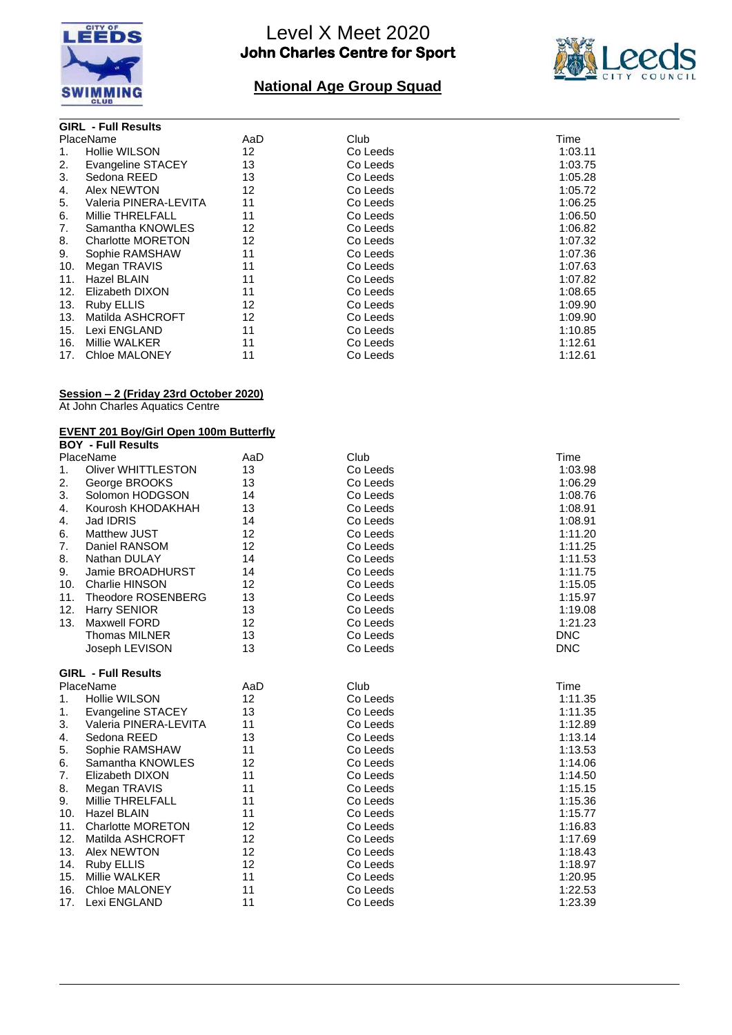



|     | <b>GIRL - Full Results</b> |     |          |         |
|-----|----------------------------|-----|----------|---------|
|     | PlaceName                  | AaD | Club     | Time    |
| 1.  | Hollie WILSON              | 12  | Co Leeds | 1:03.11 |
| 2.  | Evangeline STACEY          | 13  | Co Leeds | 1:03.75 |
| 3.  | Sedona REED                | 13  | Co Leeds | 1:05.28 |
| 4.  | Alex NEWTON                | 12  | Co Leeds | 1:05.72 |
| 5.  | Valeria PINERA-LEVITA      | 11  | Co Leeds | 1:06.25 |
| 6.  | Millie THRELFALL           | 11  | Co Leeds | 1:06.50 |
| 7.  | Samantha KNOWLES           | 12  | Co Leeds | 1:06.82 |
| 8.  | <b>Charlotte MORETON</b>   | 12  | Co Leeds | 1:07.32 |
| 9.  | Sophie RAMSHAW             | 11  | Co Leeds | 1:07.36 |
| 10. | Megan TRAVIS               | 11  | Co Leeds | 1:07.63 |
| 11. | Hazel BLAIN                | 11  | Co Leeds | 1:07.82 |
| 12. | Elizabeth DIXON            | 11  | Co Leeds | 1:08.65 |
| 13. | Ruby ELLIS                 | 12  | Co Leeds | 1:09.90 |
| 13. | Matilda ASHCROFT           | 12  | Co Leeds | 1:09.90 |
| 15. | Lexi ENGLAND               | 11  | Co Leeds | 1:10.85 |
| 16. | Millie WALKER              | 11  | Co Leeds | 1:12.61 |
| 17. | Chloe MALONEY              | 11  | Co Leeds | 1:12.61 |

## **Session – 2 (Friday 23rd October 2020)**

At John Charles Aquatics Centre

## **EVENT 201 Boy/Girl Open 100m Butterfly BOY - Full Results** PlaceName AaD Club Time 1. Oliver WHITTLESTON

| 2.  | George BROOKS              | 13                | Co Leeds | 1:06.29 |
|-----|----------------------------|-------------------|----------|---------|
| 3.  | Solomon HODGSON            | 14                | Co Leeds | 1:08.76 |
| 4.  | Kourosh KHODAKHAH          | 13                | Co Leeds | 1:08.91 |
| 4.  | Jad IDRIS                  | 14                | Co Leeds | 1:08.91 |
| 6.  | Matthew JUST               | 12                | Co Leeds | 1:11.20 |
| 7.  | Daniel RANSOM              | 12                | Co Leeds | 1:11.25 |
| 8.  | Nathan DULAY               | 14                | Co Leeds | 1:11.53 |
| 9.  | Jamie BROADHURST           | 14                | Co Leeds | 1:11.75 |
|     | 10. Charlie HINSON         | $12 \overline{ }$ | Co Leeds | 1:15.05 |
|     | 11. Theodore ROSENBERG     | 13                | Co Leeds | 1:15.97 |
|     | 12. Harry SENIOR           | 13                | Co Leeds | 1:19.08 |
| 13. | Maxwell FORD               | 12                | Co Leeds | 1:21.23 |
|     | Thomas MILNER              | 13                | Co Leeds | DNC     |
|     | Joseph LEVISON             | 13                | Co Leeds | DNC     |
|     | <b>GIRL - Full Results</b> |                   |          |         |
|     | PlaceName                  | AaD               | Club     | Time    |
| 1.  | Hollie WILSON              | 12                | Co Leeds | 1:11.35 |
|     | 1 Evangeline STACEY        | 13                | Co Leeds | 1:11.35 |

| 1.  | Evangeline STACEY     | 13 | Co Leeds | 1:11.35 |
|-----|-----------------------|----|----------|---------|
| 3.  | Valeria PINERA-LEVITA | 11 | Co Leeds | 1:12.89 |
| 4.  | Sedona REED           | 13 | Co Leeds | 1:13.14 |
| 5.  | Sophie RAMSHAW        | 11 | Co Leeds | 1:13.53 |
| 6.  | Samantha KNOWLES      | 12 | Co Leeds | 1:14.06 |
| 7.  | Elizabeth DIXON       | 11 | Co Leeds | 1:14.50 |
| 8.  | Megan TRAVIS          | 11 | Co Leeds | 1:15.15 |
| 9.  | Millie THRELFALL      | 11 | Co Leeds | 1:15.36 |
| 10. | Hazel BLAIN           | 11 | Co Leeds | 1:15.77 |
|     | 11. Charlotte MORETON | 12 | Co Leeds | 1:16.83 |
|     | 12. Matilda ASHCROFT  | 12 | Co Leeds | 1:17.69 |
|     | 13. Alex NEWTON       | 12 | Co Leeds | 1:18.43 |
|     | 14. Ruby ELLIS        | 12 | Co Leeds | 1:18.97 |
|     | 15. Millie WALKER     | 11 | Co Leeds | 1:20.95 |
|     | 16. Chloe MALONEY     | 11 | Co Leeds | 1:22.53 |
|     | 17. Lexi ENGLAND      | 11 | Co Leeds | 1:23.39 |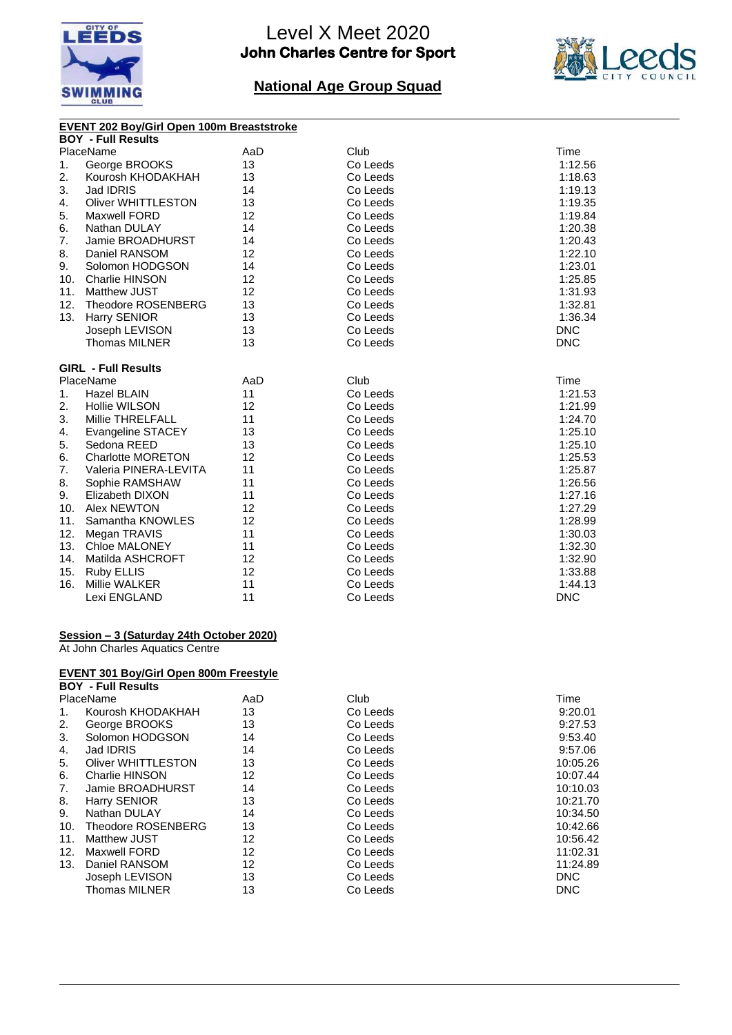



|     | <b>EVENT 202 Boy/Girl Open 100m Breaststroke</b> |     |          |            |  |
|-----|--------------------------------------------------|-----|----------|------------|--|
|     | <b>BOY - Full Results</b>                        |     |          |            |  |
|     | PlaceName                                        | AaD | Club     | Time       |  |
| 1.  | George BROOKS                                    | 13  | Co Leeds | 1:12.56    |  |
| 2.  | Kourosh KHODAKHAH                                | 13  | Co Leeds | 1:18.63    |  |
| 3.  | Jad IDRIS                                        | 14  | Co Leeds | 1:19.13    |  |
| 4.  | <b>Oliver WHITTLESTON</b>                        | 13  | Co Leeds | 1:19.35    |  |
| 5.  | Maxwell FORD                                     | 12  | Co Leeds | 1:19.84    |  |
| 6.  | Nathan DULAY                                     | 14  | Co Leeds | 1:20.38    |  |
| 7.  | Jamie BROADHURST                                 | 14  | Co Leeds | 1:20.43    |  |
| 8.  | Daniel RANSOM                                    | 12  | Co Leeds | 1:22.10    |  |
| 9.  | Solomon HODGSON                                  | 14  | Co Leeds | 1:23.01    |  |
| 10. | <b>Charlie HINSON</b>                            | 12  | Co Leeds | 1:25.85    |  |
| 11. | <b>Matthew JUST</b>                              | 12  | Co Leeds | 1:31.93    |  |
| 12. | Theodore ROSENBERG                               | 13  | Co Leeds | 1:32.81    |  |
| 13. | Harry SENIOR                                     | 13  | Co Leeds | 1:36.34    |  |
|     | Joseph LEVISON                                   | 13  | Co Leeds | <b>DNC</b> |  |
|     | <b>Thomas MILNER</b>                             | 13  | Co Leeds | <b>DNC</b> |  |
|     | <b>GIRL - Full Results</b>                       |     |          |            |  |
|     | PlaceName                                        | AaD | Club     | Time       |  |
| 1.  | <b>Hazel BLAIN</b>                               | 11  | Co Leeds | 1:21.53    |  |
| 2.  | Hollie WILSON                                    | 12  | Co Leeds | 1:21.99    |  |
| 3.  | Millie THRELFALL                                 | 11  | Co Leeds | 1:24.70    |  |
| 4.  | Evangeline STACEY                                | 13  | Co Leeds | 1:25.10    |  |
| 5.  | Sedona REED                                      | 13  | Co Leeds | 1:25.10    |  |
| 6.  | <b>Charlotte MORETON</b>                         | 12  | Co Leeds | 1:25.53    |  |
| 7.  | Valeria PINERA-LEVITA                            | 11  | Co Leeds | 1:25.87    |  |
| 8.  | Sophie RAMSHAW                                   | 11  | Co Leeds | 1:26.56    |  |
| 9.  | Elizabeth DIXON                                  | 11  | Co Leeds | 1:27.16    |  |
| 10. | Alex NEWTON                                      | 12  | Co Leeds | 1:27.29    |  |
| 11. | Samantha KNOWLES                                 | 12  | Co Leeds | 1:28.99    |  |
| 12. | Megan TRAVIS                                     | 11  | Co Leeds | 1:30.03    |  |
| 13. | Chloe MALONEY                                    | 11  | Co Leeds | 1:32.30    |  |
| 14. | Matilda ASHCROFT                                 | 12  | Co Leeds | 1:32.90    |  |
| 15. | <b>Ruby ELLIS</b>                                | 12  | Co Leeds | 1:33.88    |  |
| 16. | Millie WALKER                                    | 11  | Co Leeds | 1:44.13    |  |
|     | Lexi ENGLAND                                     | 11  | Co Leeds | <b>DNC</b> |  |

### **Session – 3 (Saturday 24th October 2020)**

At John Charles Aquatics Centre

### **EVENT 301 Boy/Girl Open 800m Freestyle**

| <b>BOY - Full Results</b> |           |          |            |
|---------------------------|-----------|----------|------------|
|                           | AaD       | Club     | Time       |
| Kourosh KHODAKHAH         | 13        | Co Leeds | 9:20.01    |
| George BROOKS             | 13        | Co Leeds | 9:27.53    |
| Solomon HODGSON           | 14        | Co Leeds | 9:53.40    |
| Jad IDRIS                 | 14        | Co Leeds | 9:57.06    |
| Oliver WHITTLESTON        | 13        | Co Leeds | 10:05.26   |
| <b>Charlie HINSON</b>     | 12        | Co Leeds | 10:07.44   |
| Jamie BROADHURST          | 14        | Co Leeds | 10:10.03   |
| <b>Harry SENIOR</b>       | 13        | Co Leeds | 10:21.70   |
| Nathan DULAY              | 14        | Co Leeds | 10:34.50   |
| Theodore ROSENBERG        | 13        | Co Leeds | 10:42.66   |
| Matthew JUST              | 12        | Co Leeds | 10:56.42   |
| <b>Maxwell FORD</b>       | 12        | Co Leeds | 11:02.31   |
| Daniel RANSOM             | 12        | Co Leeds | 11:24.89   |
| Joseph LEVISON            | 13        | Co Leeds | <b>DNC</b> |
| <b>Thomas MILNER</b>      | 13        | Co Leeds | <b>DNC</b> |
|                           | PlaceName |          |            |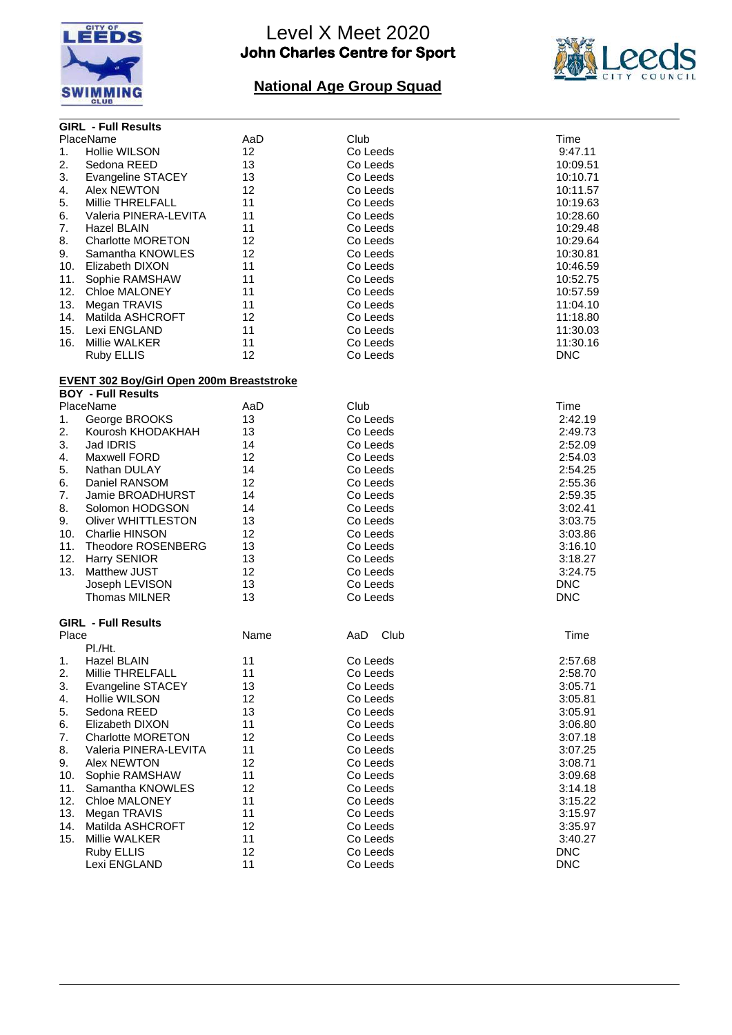



|       | <b>GIRL - Full Results</b>                       |      |             |            |  |  |
|-------|--------------------------------------------------|------|-------------|------------|--|--|
|       | PlaceName                                        | AaD  | Club        | Time       |  |  |
| 1.    | Hollie WILSON                                    | 12   | Co Leeds    | 9:47.11    |  |  |
| 2.    | Sedona REED                                      | 13   | Co Leeds    | 10:09.51   |  |  |
| 3.    | Evangeline STACEY                                | 13   | Co Leeds    | 10:10.71   |  |  |
| 4.    | Alex NEWTON                                      | 12   | Co Leeds    | 10:11.57   |  |  |
| 5.    | Millie THRELFALL                                 | 11   | Co Leeds    | 10:19.63   |  |  |
| 6.    | Valeria PINERA-LEVITA                            | 11   | Co Leeds    | 10:28.60   |  |  |
| 7.    | <b>Hazel BLAIN</b>                               | 11   | Co Leeds    | 10:29.48   |  |  |
| 8.    | <b>Charlotte MORETON</b>                         | 12   | Co Leeds    | 10:29.64   |  |  |
| 9.    | Samantha KNOWLES                                 | 12   | Co Leeds    | 10:30.81   |  |  |
| 10.   | Elizabeth DIXON                                  | 11   | Co Leeds    | 10:46.59   |  |  |
| 11.   | Sophie RAMSHAW                                   | 11   | Co Leeds    | 10:52.75   |  |  |
| 12.   | <b>Chloe MALONEY</b>                             | 11   | Co Leeds    | 10:57.59   |  |  |
| 13.   | Megan TRAVIS                                     | 11   | Co Leeds    | 11:04.10   |  |  |
| 14.   | Matilda ASHCROFT                                 | 12   | Co Leeds    | 11:18.80   |  |  |
| 15.   | Lexi ENGLAND                                     | 11   | Co Leeds    | 11:30.03   |  |  |
| 16.   | <b>Millie WALKER</b>                             | 11   | Co Leeds    | 11:30.16   |  |  |
|       |                                                  | 12   |             |            |  |  |
|       | Ruby ELLIS                                       |      | Co Leeds    | <b>DNC</b> |  |  |
|       | <b>EVENT 302 Boy/Girl Open 200m Breaststroke</b> |      |             |            |  |  |
|       | <b>BOY - Full Results</b>                        |      |             |            |  |  |
|       | PlaceName                                        | AaD  | Club        | Time       |  |  |
| 1.    | George BROOKS                                    | 13   | Co Leeds    | 2:42.19    |  |  |
| 2.    | Kourosh KHODAKHAH                                | 13   | Co Leeds    | 2:49.73    |  |  |
| 3.    | Jad IDRIS                                        | 14   | Co Leeds    | 2:52.09    |  |  |
| 4.    | Maxwell FORD                                     | 12   | Co Leeds    | 2:54.03    |  |  |
| 5.    | Nathan DULAY                                     | 14   | Co Leeds    | 2:54.25    |  |  |
| 6.    | Daniel RANSOM                                    | 12   | Co Leeds    | 2:55.36    |  |  |
| 7.    | Jamie BROADHURST                                 | 14   | Co Leeds    | 2:59.35    |  |  |
| 8.    | Solomon HODGSON                                  | 14   | Co Leeds    | 3:02.41    |  |  |
| 9.    | <b>Oliver WHITTLESTON</b>                        | 13   | Co Leeds    | 3:03.75    |  |  |
|       |                                                  |      |             |            |  |  |
| 10.   | <b>Charlie HINSON</b>                            | 12   | Co Leeds    | 3:03.86    |  |  |
| 11.   | Theodore ROSENBERG                               | 13   | Co Leeds    | 3:16.10    |  |  |
| 12.   | Harry SENIOR                                     | 13   | Co Leeds    | 3:18.27    |  |  |
| 13.   | Matthew JUST                                     | 12   | Co Leeds    | 3:24.75    |  |  |
|       | Joseph LEVISON                                   | 13   | Co Leeds    | <b>DNC</b> |  |  |
|       | <b>Thomas MILNER</b>                             | 13   | Co Leeds    | <b>DNC</b> |  |  |
|       | <b>GIRL - Full Results</b>                       |      |             |            |  |  |
| Place |                                                  | Name | Club<br>AaD | Time       |  |  |
|       | PI./Ht.                                          |      |             |            |  |  |
| 1.    | <b>Hazel BLAIN</b>                               | 11   | Co Leeds    | 2:57.68    |  |  |
| 2.    | Millie THRELFALL                                 | 11   | Co Leeds    | 2:58.70    |  |  |
| 3.    | Evangeline STACEY                                | 13   | Co Leeds    | 3:05.71    |  |  |
| 4.    | Hollie WILSON                                    | 12   | Co Leeds    | 3:05.81    |  |  |
| 5.    | Sedona REED                                      | 13   | Co Leeds    | 3:05.91    |  |  |
| 6.    | Elizabeth DIXON                                  | 11   | Co Leeds    | 3:06.80    |  |  |
| 7.    | <b>Charlotte MORETON</b>                         | 12   | Co Leeds    | 3:07.18    |  |  |
| 8.    | Valeria PINERA-LEVITA                            | 11   | Co Leeds    | 3:07.25    |  |  |
| 9.    | Alex NEWTON                                      | 12   | Co Leeds    | 3:08.71    |  |  |
| 10.   | Sophie RAMSHAW                                   | 11   | Co Leeds    | 3:09.68    |  |  |
| 11.   | Samantha KNOWLES                                 | 12   |             |            |  |  |
|       |                                                  |      | Co Leeds    | 3:14.18    |  |  |
| 12.   | Chloe MALONEY                                    | 11   | Co Leeds    | 3:15.22    |  |  |
| 13.   | Megan TRAVIS                                     | 11   | Co Leeds    | 3:15.97    |  |  |
| 14.   | Matilda ASHCROFT                                 | 12   | Co Leeds    | 3:35.97    |  |  |
| 15.   | Millie WALKER                                    | 11   | Co Leeds    | 3:40.27    |  |  |
|       | Ruby ELLIS                                       | 12   | Co Leeds    | <b>DNC</b> |  |  |
|       | Lexi ENGLAND                                     | 11   | Co Leeds    | <b>DNC</b> |  |  |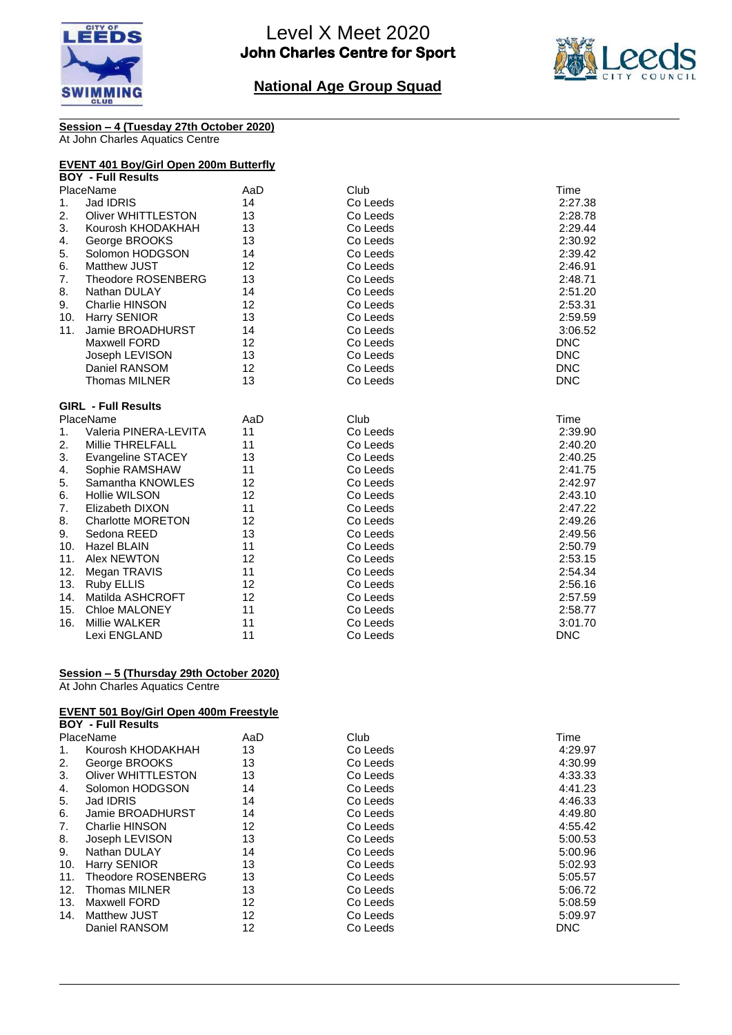



### **Session – 4 (Tuesday 27th October 2020)** At John Charles Aquatics Centre

# **EVENT 401 Boy/Girl Open 200m Butterfly**

|                            | AaD                       | Club     | Time       |
|----------------------------|---------------------------|----------|------------|
| Jad IDRIS                  | 14                        | Co Leeds | 2:27.38    |
| <b>Oliver WHITTLESTON</b>  | 13                        | Co Leeds | 2:28.78    |
| Kourosh KHODAKHAH          | 13                        | Co Leeds | 2:29.44    |
| George BROOKS              | 13                        | Co Leeds | 2:30.92    |
| Solomon HODGSON            | 14                        | Co Leeds | 2:39.42    |
| Matthew JUST               | 12                        | Co Leeds | 2:46.91    |
| <b>Theodore ROSENBERG</b>  | 13                        | Co Leeds | 2:48.71    |
| Nathan DULAY               | 14                        | Co Leeds | 2:51.20    |
| Charlie HINSON             | 12                        | Co Leeds | 2:53.31    |
| Harry SENIOR               | 13                        | Co Leeds | 2:59.59    |
| Jamie BROADHURST           | 14                        | Co Leeds | 3:06.52    |
| <b>Maxwell FORD</b>        | 12                        | Co Leeds | <b>DNC</b> |
| Joseph LEVISON             | 13                        | Co Leeds | <b>DNC</b> |
| Daniel RANSOM              | 12                        | Co Leeds | <b>DNC</b> |
| <b>Thomas MILNER</b>       | 13                        | Co Leeds | <b>DNC</b> |
|                            |                           |          |            |
| <b>GIRL - Full Results</b> |                           |          |            |
|                            | AaD                       | Club     | Time       |
| Valeria PINERA-LEVITA      | 11                        | Co Leeds | 2:39.90    |
| Millie THRELFALL           | 11                        | Co Leeds | 2:40.20    |
| Evangeline STACEY          | 13                        | Co Leeds | 2:40.25    |
| Sophie RAMSHAW             | 11                        | Co Leeds | 2:41.75    |
| Samantha KNOWLES           | 12                        | Co Leeds | 2:42.97    |
| Hollie WILSON              | 12                        | Co Leeds | 2:43.10    |
| Elizabeth DIXON            | 11                        | Co Leeds | 2:47.22    |
| <b>Charlotte MORETON</b>   | 12                        | Co Leeds | 2:49.26    |
| Sedona REED                | 13                        | Co Leeds | 2:49.56    |
| <b>Hazel BLAIN</b>         | 11                        | Co Leeds | 2:50.79    |
| Alex NEWTON                | 12                        | Co Leeds | 2:53.15    |
| Megan TRAVIS               | 11                        | Co Leeds | 2:54.34    |
| Ruby ELLIS                 | 12                        | Co Leeds | 2:56.16    |
| Matilda ASHCROFT           | 12                        | Co Leeds | 2:57.59    |
| Chloe MALONEY              | 11                        | Co Leeds | 2:58.77    |
| Millie WALKER              | 11                        | Co Leeds | 3:01.70    |
|                            | <b>BOY - Full Results</b> |          |            |

## **Session – 5 (Thursday 29th October 2020)**

At John Charles Aquatics Centre

#### **EVENT 501 Boy/Girl Open 400m Freestyle BOY - Full Results**

|     | PlaceName                 | AaD | Club     | Time       |
|-----|---------------------------|-----|----------|------------|
| 1.  | Kourosh KHODAKHAH         | 13  | Co Leeds | 4:29.97    |
| 2.  | George BROOKS             | 13  | Co Leeds | 4:30.99    |
| 3.  | <b>Oliver WHITTLESTON</b> | 13  | Co Leeds | 4:33.33    |
| 4.  | Solomon HODGSON           | 14  | Co Leeds | 4:41.23    |
| 5.  | Jad IDRIS                 | 14  | Co Leeds | 4:46.33    |
| 6.  | Jamie BROADHURST          | 14  | Co Leeds | 4:49.80    |
| 7.  | <b>Charlie HINSON</b>     | 12  | Co Leeds | 4:55.42    |
| 8.  | Joseph LEVISON            | 13  | Co Leeds | 5:00.53    |
| 9.  | Nathan DULAY              | 14  | Co Leeds | 5:00.96    |
| 10. | <b>Harry SENIOR</b>       | 13  | Co Leeds | 5:02.93    |
| 11. | Theodore ROSENBERG        | 13  | Co Leeds | 5:05.57    |
| 12. | <b>Thomas MILNER</b>      | 13  | Co Leeds | 5:06.72    |
| 13. | <b>Maxwell FORD</b>       | 12  | Co Leeds | 5:08.59    |
| 14. | Matthew JUST              | 12  | Co Leeds | 5:09.97    |
|     | Daniel RANSOM             | 12  | Co Leeds | <b>DNC</b> |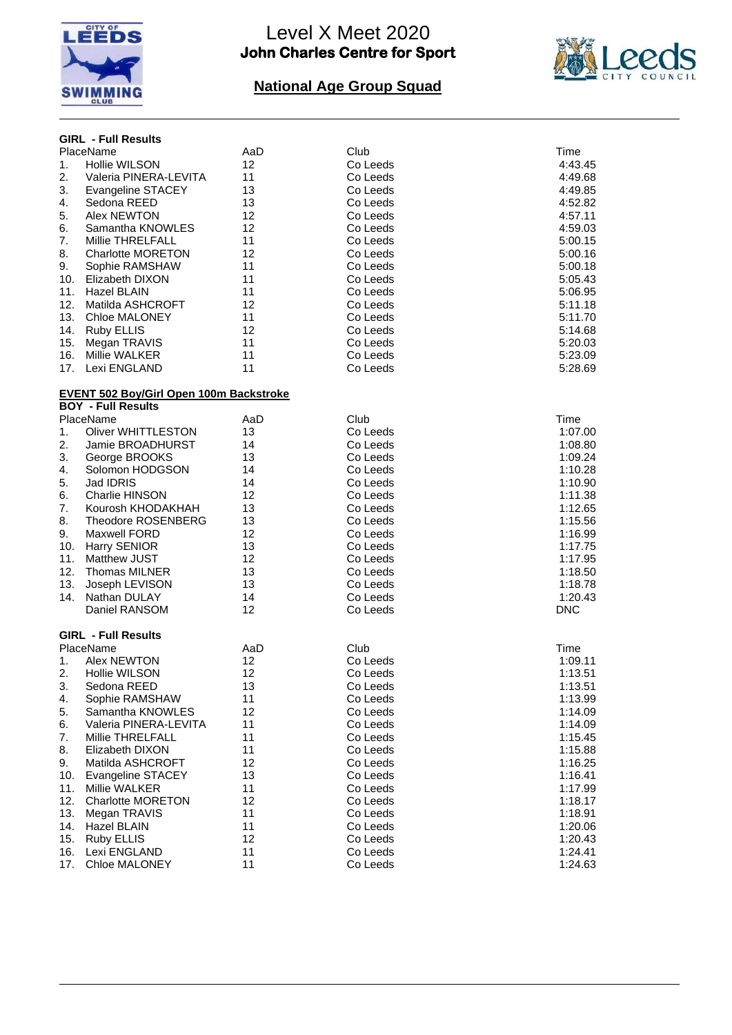



|     | <b>GIRL - Full Results</b>                     |     |          |            |
|-----|------------------------------------------------|-----|----------|------------|
|     | PlaceName                                      | AaD | Club     | Time       |
| 1.  | <b>Hollie WILSON</b>                           | 12  | Co Leeds | 4:43.45    |
| 2.  | Valeria PINERA-LEVITA                          | 11  | Co Leeds | 4:49.68    |
| 3.  | Evangeline STACEY                              | 13  | Co Leeds | 4:49.85    |
| 4.  | Sedona REED                                    | 13  | Co Leeds | 4:52.82    |
| 5.  | Alex NEWTON                                    | 12  | Co Leeds | 4:57.11    |
| 6.  | Samantha KNOWLES                               | 12  | Co Leeds | 4:59.03    |
| 7.  | Millie THRELFALL                               | 11  | Co Leeds | 5:00.15    |
| 8.  | <b>Charlotte MORETON</b>                       | 12  | Co Leeds | 5:00.16    |
| 9.  | Sophie RAMSHAW                                 | 11  | Co Leeds | 5:00.18    |
| 10. | Elizabeth DIXON                                | 11  | Co Leeds | 5:05.43    |
| 11. | <b>Hazel BLAIN</b>                             | 11  | Co Leeds | 5:06.95    |
| 12. | Matilda ASHCROFT                               | 12  | Co Leeds | 5:11.18    |
| 13. | <b>Chloe MALONEY</b>                           | 11  | Co Leeds | 5:11.70    |
| 14. | Ruby ELLIS                                     | 12  | Co Leeds | 5:14.68    |
| 15. | Megan TRAVIS                                   | 11  | Co Leeds | 5:20.03    |
| 16. | Millie WALKER                                  | 11  | Co Leeds | 5:23.09    |
| 17. | Lexi ENGLAND                                   | 11  | Co Leeds | 5:28.69    |
|     | <b>EVENT 502 Boy/Girl Open 100m Backstroke</b> |     |          |            |
|     | <b>BOY - Full Results</b>                      |     |          |            |
|     | PlaceName                                      | AaD | Club     | Time       |
| 1.  | <b>Oliver WHITTLESTON</b>                      | 13  | Co Leeds | 1:07.00    |
| 2.  | Jamie BROADHURST                               | 14  | Co Leeds | 1:08.80    |
| 3.  | George BROOKS                                  | 13  | Co Leeds | 1:09.24    |
| 4.  | Solomon HODGSON                                | 14  | Co Leeds | 1:10.28    |
| 5.  | Jad IDRIS                                      | 14  | Co Leeds | 1:10.90    |
| 6.  | <b>Charlie HINSON</b>                          | 12  | Co Leeds | 1:11.38    |
| 7.  | Kourosh KHODAKHAH                              | 13  | Co Leeds | 1:12.65    |
| 8.  | Theodore ROSENBERG                             | 13  | Co Leeds | 1:15.56    |
| 9.  | Maxwell FORD                                   | 12  | Co Leeds | 1:16.99    |
| 10. | Harry SENIOR                                   | 13  | Co Leeds | 1:17.75    |
| 11. | <b>Matthew JUST</b>                            | 12  | Co Leeds | 1:17.95    |
| 12. | <b>Thomas MILNER</b>                           | 13  | Co Leeds | 1:18.50    |
| 13. | Joseph LEVISON                                 | 13  | Co Leeds | 1:18.78    |
| 14. | Nathan DULAY                                   | 14  | Co Leeds | 1:20.43    |
|     | Daniel RANSOM                                  | 12  | Co Leeds | <b>DNC</b> |
|     | <b>GIRL - Full Results</b>                     |     |          |            |
|     | PlaceName                                      | AaD | Club     | Time       |
| 1.  | Alex NEWTON                                    | 12  | Co Leeds | 1:09.11    |
| 2.  | Hollie WILSON                                  | 12  | Co Leeds | 1:13.51    |
| 3.  | Sedona REED                                    | 13  | Co Leeds | 1:13.51    |
| 4.  | Sophie RAMSHAW                                 | 11  | Co Leeds | 1:13.99    |
| 5.  | Samantha KNOWLES                               | 12  | Co Leeds | 1:14.09    |
| 6.  | Valeria PINERA-LEVITA                          | 11  | Co Leeds | 1:14.09    |
| 7.  | Millie THRELFALL                               | 11  | Co Leeds | 1:15.45    |
| 8.  | Elizabeth DIXON                                | 11  | Co Leeds | 1:15.88    |
| 9.  | Matilda ASHCROFT                               | 12  | Co Leeds | 1:16.25    |
| 10. | Evangeline STACEY                              | 13  | Co Leeds | 1:16.41    |
| 11. | Millie WALKER                                  | 11  | Co Leeds | 1:17.99    |
| 12. | <b>Charlotte MORETON</b>                       | 12  | Co Leeds | 1:18.17    |
| 13. | Megan TRAVIS                                   | 11  | Co Leeds | 1:18.91    |
| 14. | <b>Hazel BLAIN</b>                             | 11  | Co Leeds | 1:20.06    |
| 15. | Ruby ELLIS                                     | 12  | Co Leeds | 1:20.43    |
| 16. | Lexi ENGLAND                                   | 11  | Co Leeds | 1:24.41    |
| 17. | Chloe MALONEY                                  | 11  | Co Leeds | 1:24.63    |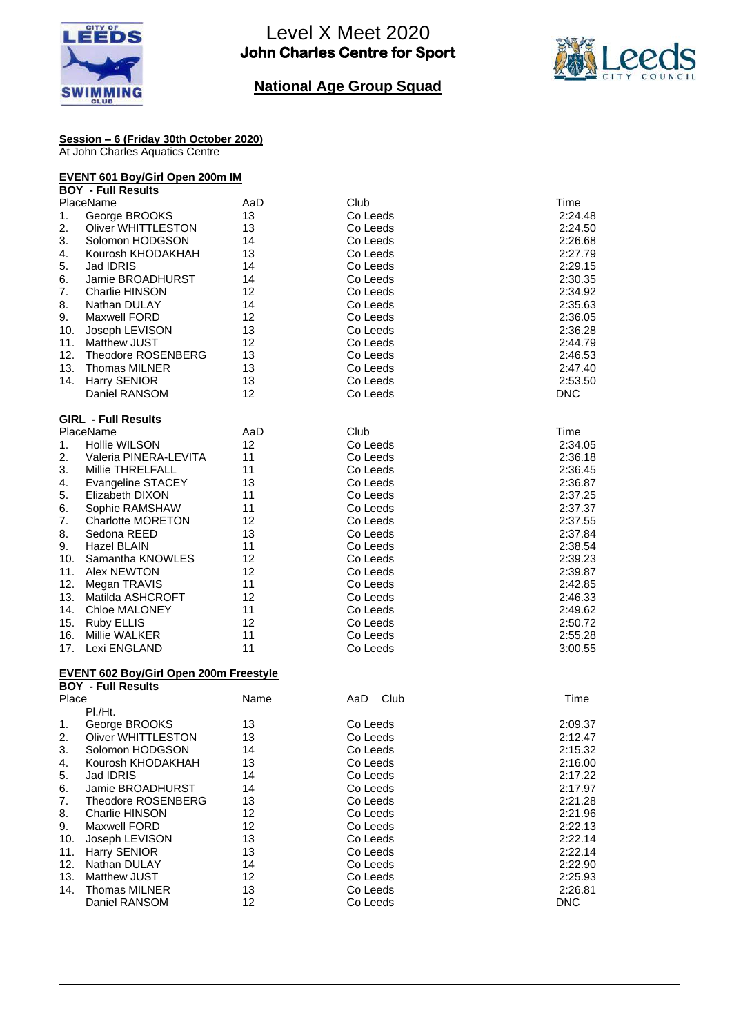



### **Session – 6 (Friday 30th October 2020)**

At John Charles Aquatics Centre

## **EVENT 601 Boy/Girl Open 200m IM**

|                | <b>BOY - Full Results</b>  |     |          |            |
|----------------|----------------------------|-----|----------|------------|
|                | PlaceName                  | AaD | Club     | Time       |
| 1.             | George BROOKS              | 13  | Co Leeds | 2:24.48    |
| 2.             | <b>Oliver WHITTLESTON</b>  | 13  | Co Leeds | 2:24.50    |
| 3.             | Solomon HODGSON            | 14  | Co Leeds | 2:26.68    |
| 4.             | Kourosh KHODAKHAH          | 13  | Co Leeds | 2:27.79    |
| 5.             | Jad IDRIS                  | 14  | Co Leeds | 2:29.15    |
| 6.             | Jamie BROADHURST           | 14  | Co Leeds | 2:30.35    |
| 7.             | <b>Charlie HINSON</b>      | 12  | Co Leeds | 2:34.92    |
| 8.             | Nathan DULAY               | 14  | Co Leeds | 2:35.63    |
| 9.             | Maxwell FORD               | 12  | Co Leeds | 2:36.05    |
| 10.            | Joseph LEVISON             | 13  | Co Leeds | 2:36.28    |
| 11.            | <b>Matthew JUST</b>        | 12  | Co Leeds | 2:44.79    |
| 12.            | <b>Theodore ROSENBERG</b>  | 13  | Co Leeds | 2:46.53    |
| 13.            | <b>Thomas MILNER</b>       | 13  | Co Leeds | 2:47.40    |
| 14.            | Harry SENIOR               | 13  | Co Leeds | 2:53.50    |
|                | Daniel RANSOM              | 12  | Co Leeds | <b>DNC</b> |
|                | <b>GIRL - Full Results</b> |     |          |            |
|                | PlaceName                  | AaD | Club     | Time       |
| 1 <sub>1</sub> | Hollie WILSON              | 12  | Co Leeds | 2:34.05    |
| 2.             | Valeria PINERA-LEVITA      | 11  | Co Leeds | 2:36.18    |
| 3.             | Millie THRELFALL           | 11  | Co Leeds | 2:36.45    |
| 4.             | Evangeline STACEY          | 13  | Co Leeds | 2:36.87    |
| 5.             | Elizabeth DIXON            | 11  | Co Leeds | 2:37.25    |
| 6.             | Sophie RAMSHAW             | 11  | Co Leeds | 2:37.37    |
| 7.             | <b>Charlotte MORETON</b>   | 12  | Co Leeds | 2:37.55    |
| 8.             | Sedona REED                | 13  | Co Leeds | 2:37.84    |
| 9.             | Hazel BLAIN                | 11  | Co Leeds | 2:38.54    |
| 10.            | Samantha KNOWLES           | 12  | Co Leeds | 2:39.23    |
| 11.            | Alex NEWTON                | 12  | Co Leeds | 2:39.87    |
| 12.            | Megan TRAVIS               | 11  | Co Leeds | 2:42.85    |
| 13.            | Matilda ASHCROFT           | 12  | Co Leeds | 2:46.33    |
| 14.            | <b>Chloe MALONEY</b>       | 11  | Co Leeds | 2:49.62    |
|                | 15. Ruby ELLIS             | 12  | Co Leeds | 2:50.72    |
| 16.            | Millie WALKER              | 11  | Co Leeds | 2:55.28    |
| 17.            | Lexi ENGLAND               | 11  | Co Leeds | 3:00.55    |

### **EVENT 602 Boy/Girl Open 200m Freestyle**

|       | <b>BOY - Full Results</b> |      |              |            |
|-------|---------------------------|------|--------------|------------|
| Place |                           | Name | Club<br>AaD. | Time       |
|       | PI./Ht.                   |      |              |            |
| 1.    | George BROOKS             | 13   | Co Leeds     | 2:09.37    |
| 2.    | Oliver WHITTLESTON        | 13   | Co Leeds     | 2:12.47    |
| 3.    | Solomon HODGSON           | 14   | Co Leeds     | 2:15.32    |
| 4.    | Kourosh KHODAKHAH         | 13   | Co Leeds     | 2:16.00    |
| 5.    | Jad IDRIS                 | 14   | Co Leeds     | 2:17.22    |
| 6.    | Jamie BROADHURST          | 14   | Co Leeds     | 2:17.97    |
| 7.    | Theodore ROSENBERG        | 13   | Co Leeds     | 2:21.28    |
| 8.    | <b>Charlie HINSON</b>     | 12   | Co Leeds     | 2:21.96    |
| 9.    | <b>Maxwell FORD</b>       | 12   | Co Leeds     | 2:22.13    |
| 10.   | Joseph LEVISON            | 13   | Co Leeds     | 2:22.14    |
| 11.   | <b>Harry SENIOR</b>       | 13   | Co Leeds     | 2:22.14    |
| 12.   | Nathan DULAY              | 14   | Co Leeds     | 2:22.90    |
| 13.   | Matthew JUST              | 12   | Co Leeds     | 2:25.93    |
| 14.   | <b>Thomas MILNER</b>      | 13   | Co Leeds     | 2:26.81    |
|       | Daniel RANSOM             | 12   | Co Leeds     | <b>DNC</b> |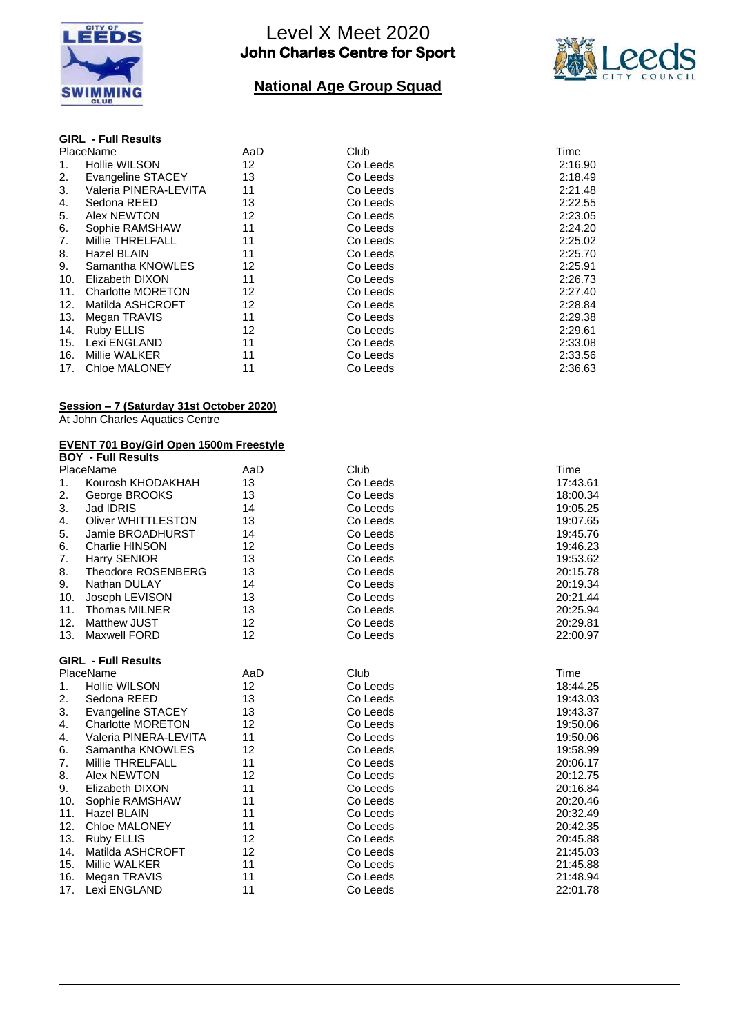



|  |  |  | <b>GIRL - Full Results</b> |
|--|--|--|----------------------------|
|--|--|--|----------------------------|

|     | PlaceName                | AaD | Club     | Time    |
|-----|--------------------------|-----|----------|---------|
| 1.  | Hollie WILSON            | 12  | Co Leeds | 2:16.90 |
| 2.  | Evangeline STACEY        | 13  | Co Leeds | 2:18.49 |
| 3.  | Valeria PINERA-LEVITA    | 11  | Co Leeds | 2:21.48 |
| 4.  | Sedona REED              | 13  | Co Leeds | 2:22.55 |
| 5.  | Alex NEWTON              | 12  | Co Leeds | 2:23.05 |
| 6.  | Sophie RAMSHAW           | 11  | Co Leeds | 2:24.20 |
| 7.  | Millie THRELFALL         | 11  | Co Leeds | 2:25.02 |
| 8.  | <b>Hazel BLAIN</b>       | 11  | Co Leeds | 2:25.70 |
| 9.  | Samantha KNOWLES         | 12  | Co Leeds | 2:25.91 |
| 10. | Elizabeth DIXON          | 11  | Co Leeds | 2:26.73 |
| 11. | <b>Charlotte MORETON</b> | 12  | Co Leeds | 2:27.40 |
| 12. | Matilda ASHCROFT         | 12  | Co Leeds | 2:28.84 |
| 13. | Megan TRAVIS             | 11  | Co Leeds | 2:29.38 |
| 14. | Ruby ELLIS               | 12  | Co Leeds | 2:29.61 |
| 15. | Lexi ENGLAND             | 11  | Co Leeds | 2:33.08 |
| 16. | Millie WALKER            | 11  | Co Leeds | 2:33.56 |
| 17. | Chloe MALONEY            | 11  | Co Leeds | 2:36.63 |

### **Session – 7 (Saturday 31st October 2020)**

At John Charles Aquatics Centre

### **EVENT 701 Boy/Girl Open 1500m Freestyle**

|                | <b>BOY - Full Results</b>  |     |          |          |
|----------------|----------------------------|-----|----------|----------|
| PlaceName      |                            | AaD | Club     | Time     |
| $\mathbf{1}$ . | Kourosh KHODAKHAH          | 13  | Co Leeds | 17:43.61 |
| 2.             | George BROOKS              | 13  | Co Leeds | 18:00.34 |
| 3.             | Jad IDRIS                  | 14  | Co Leeds | 19:05.25 |
| 4.             | <b>Oliver WHITTLESTON</b>  | 13  | Co Leeds | 19:07.65 |
| 5.             | Jamie BROADHURST           | 14  | Co Leeds | 19:45.76 |
| 6.             | <b>Charlie HINSON</b>      | 12  | Co Leeds | 19:46.23 |
| 7.             | <b>Harry SENIOR</b>        | 13  | Co Leeds | 19:53.62 |
| 8.             | Theodore ROSENBERG         | 13  | Co Leeds | 20:15.78 |
| 9.             | Nathan DULAY               | 14  | Co Leeds | 20:19.34 |
| 10.            | Joseph LEVISON             | 13  | Co Leeds | 20:21.44 |
| 11.            | <b>Thomas MILNER</b>       | 13  | Co Leeds | 20:25.94 |
| 12.            | Matthew JUST               | 12  | Co Leeds | 20:29.81 |
| 13.            | Maxwell FORD               | 12  | Co Leeds | 22:00.97 |
|                | <b>GIRL - Full Results</b> |     |          |          |
|                |                            |     | - - -    |          |

|                          | AaD                                            | Club     | Time     |
|--------------------------|------------------------------------------------|----------|----------|
| Hollie WILSON            | 12                                             | Co Leeds | 18:44.25 |
| Sedona REED              | 13                                             | Co Leeds | 19:43.03 |
| Evangeline STACEY        | 13                                             | Co Leeds | 19:43.37 |
| <b>Charlotte MORETON</b> | 12                                             | Co Leeds | 19:50.06 |
| Valeria PINERA-LEVITA    | 11                                             | Co Leeds | 19:50.06 |
| Samantha KNOWLES         | 12                                             | Co Leeds | 19:58.99 |
| Millie THRELFALL         | 11                                             | Co Leeds | 20:06.17 |
| Alex NEWTON              | 12                                             | Co Leeds | 20:12.75 |
| Elizabeth DIXON          | 11                                             | Co Leeds | 20:16.84 |
| Sophie RAMSHAW           | 11                                             | Co Leeds | 20:20.46 |
| Hazel BLAIN              | 11                                             | Co Leeds | 20:32.49 |
|                          | 11                                             | Co Leeds | 20:42.35 |
| Ruby ELLIS               | 12                                             | Co Leeds | 20:45.88 |
|                          | 12                                             | Co Leeds | 21:45.03 |
| Millie WALKER            | 11                                             | Co Leeds | 21:45.88 |
| Megan TRAVIS             | 11                                             | Co Leeds | 21:48.94 |
| Lexi ENGLAND             | 11                                             | Co Leeds | 22:01.78 |
|                          | PlaceName<br>Chloe MALONEY<br>Matilda ASHCROFT |          |          |